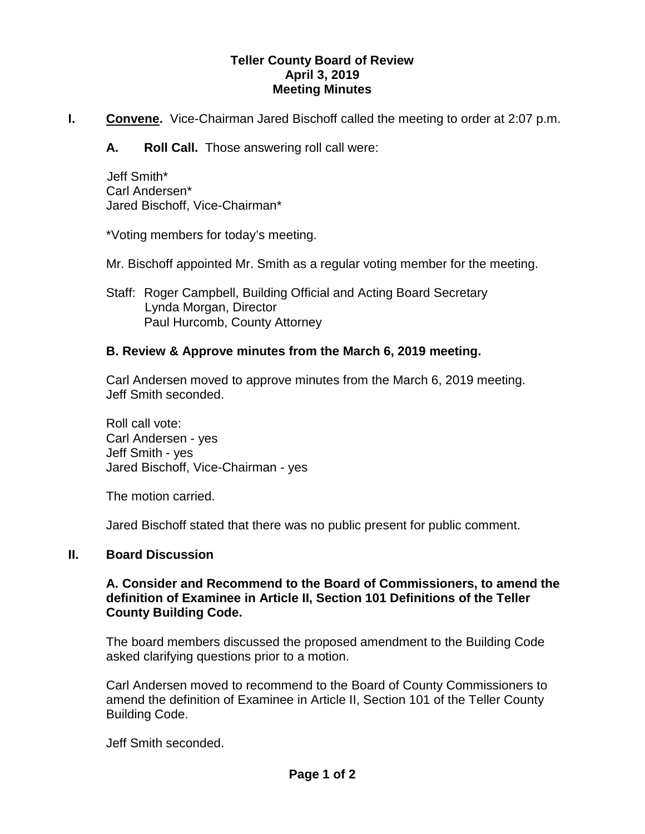#### **Teller County Board of Review April 3, 2019 Meeting Minutes**

**I. Convene.** Vice-Chairman Jared Bischoff called the meeting to order at 2:07 p.m.

**A. Roll Call.** Those answering roll call were:

 Jeff Smith\* Carl Andersen\* Jared Bischoff, Vice-Chairman\*

\*Voting members for today's meeting.

Mr. Bischoff appointed Mr. Smith as a regular voting member for the meeting.

Staff: Roger Campbell, Building Official and Acting Board Secretary Lynda Morgan, Director Paul Hurcomb, County Attorney

# **B. Review & Approve minutes from the March 6, 2019 meeting.**

Carl Andersen moved to approve minutes from the March 6, 2019 meeting. Jeff Smith seconded.

Roll call vote: Carl Andersen - yes Jeff Smith - yes Jared Bischoff, Vice-Chairman - yes

The motion carried.

Jared Bischoff stated that there was no public present for public comment.

# **II. Board Discussion**

#### **A. Consider and Recommend to the Board of Commissioners, to amend the definition of Examinee in Article II, Section 101 Definitions of the Teller County Building Code.**

The board members discussed the proposed amendment to the Building Code asked clarifying questions prior to a motion.

Carl Andersen moved to recommend to the Board of County Commissioners to amend the definition of Examinee in Article II, Section 101 of the Teller County Building Code.

Jeff Smith seconded.